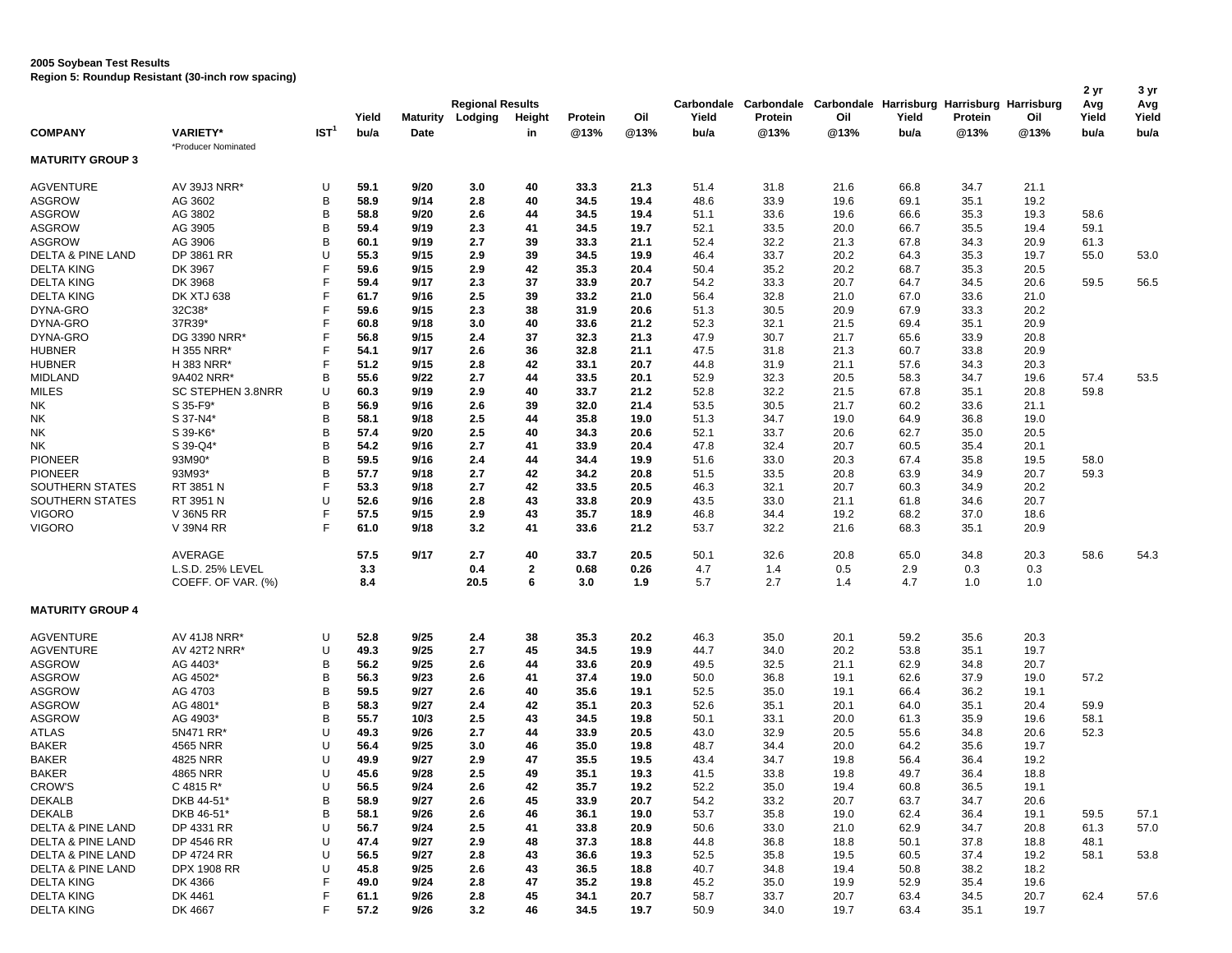**2005 Soybean Test Results** 

**Region 5: Roundup Resistant (30-inch row spacing)**

|                              |                                        |                  | Yield      | Maturity | <b>Regional Results</b><br>Lodging | Height            | Protein     | Oil         | Yield      | Carbondale Carbondale Carbondale Harrisburg Harrisburg Harrisburg<br>Protein | Oil        | Yield      | Protein    | Oil        | 2 yr<br>Avg<br>Yield | 3 yr<br>Avg<br>Yield |
|------------------------------|----------------------------------------|------------------|------------|----------|------------------------------------|-------------------|-------------|-------------|------------|------------------------------------------------------------------------------|------------|------------|------------|------------|----------------------|----------------------|
| <b>COMPANY</b>               | <b>VARIETY*</b>                        | IST <sup>1</sup> | bu/a       | Date     |                                    | in                | @13%        | @13%        | bu/a       | @13%                                                                         | @13%       | bu/a       | @13%       | @13%       | bu/a                 | bu/a                 |
| <b>MATURITY GROUP 3</b>      | *Producer Nominated                    |                  |            |          |                                    |                   |             |             |            |                                                                              |            |            |            |            |                      |                      |
| <b>AGVENTURE</b>             | AV 39J3 NRR*                           | U                | 59.1       | 9/20     | 3.0                                | 40                | 33.3        | 21.3        | 51.4       | 31.8                                                                         | 21.6       | 66.8       | 34.7       | 21.1       |                      |                      |
| <b>ASGROW</b>                | AG 3602                                | B                | 58.9       | 9/14     | 2.8                                | 40                | 34.5        | 19.4        | 48.6       | 33.9                                                                         | 19.6       | 69.1       | 35.1       | 19.2       |                      |                      |
| <b>ASGROW</b>                | AG 3802                                | B                | 58.8       | 9/20     | 2.6                                | 44                | 34.5        | 19.4        | 51.1       | 33.6                                                                         | 19.6       | 66.6       | 35.3       | 19.3       | 58.6                 |                      |
| <b>ASGROW</b>                | AG 3905                                | B                | 59.4       | 9/19     | 2.3                                | 41                | 34.5        | 19.7        | 52.1       | 33.5                                                                         | 20.0       | 66.7       | 35.5       | 19.4       | 59.1                 |                      |
| <b>ASGROW</b>                | AG 3906                                | B                | 60.1       | 9/19     | 2.7                                | 39                | 33.3        | 21.1        | 52.4       | 32.2                                                                         | 21.3       | 67.8       | 34.3       | 20.9       | 61.3                 |                      |
| DELTA & PINE LAND            | DP 3861 RR                             | U                | 55.3       | 9/15     | 2.9                                | 39                | 34.5        | 19.9        | 46.4       | 33.7                                                                         | 20.2       | 64.3       | 35.3       | 19.7       | 55.0                 | 53.0                 |
| <b>DELTA KING</b>            | DK 3967                                | F                | 59.6       | 9/15     | 2.9                                | 42                | 35.3        | 20.4        | 50.4       | 35.2                                                                         | 20.2       | 68.7       | 35.3       | 20.5       |                      |                      |
| <b>DELTA KING</b>            | DK 3968                                | F                | 59.4       | 9/17     | 2.3                                | 37                | 33.9        | 20.7        | 54.2       | 33.3                                                                         | 20.7       | 64.7       | 34.5       | 20.6       | 59.5                 | 56.5                 |
| <b>DELTA KING</b>            | <b>DK XTJ 638</b>                      | F                | 61.7       | 9/16     | 2.5                                | 39                | 33.2        | 21.0        | 56.4       | 32.8                                                                         | 21.0       | 67.0       | 33.6       | 21.0       |                      |                      |
| DYNA-GRO                     | 32C38*                                 | F                | 59.6       | 9/15     | 2.3                                | 38                | 31.9        | 20.6        | 51.3       | 30.5                                                                         | 20.9       | 67.9       | 33.3       | 20.2       |                      |                      |
| DYNA-GRO                     | 37R39*                                 | F                | 60.8       | 9/18     | 3.0                                | 40                | 33.6        | 21.2        | 52.3       | 32.1                                                                         | 21.5       | 69.4       | 35.1       | 20.9       |                      |                      |
| DYNA-GRO                     | DG 3390 NRR*                           | F                | 56.8       | 9/15     | 2.4                                | 37                | 32.3        | 21.3        | 47.9       | 30.7                                                                         | 21.7       | 65.6       | 33.9       | 20.8       |                      |                      |
| <b>HUBNER</b>                | H 355 NRR*                             | F                | 54.1       | 9/17     | 2.6                                | 36                | 32.8        | 21.1        | 47.5       | 31.8                                                                         | 21.3       | 60.7       | 33.8       | 20.9       |                      |                      |
| <b>HUBNER</b>                | H 383 NRR*                             | E                | 51.2       | 9/15     | 2.8                                | 42                | 33.1        | 20.7        | 44.8       | 31.9                                                                         | 21.1       | 57.6       | 34.3       | 20.3       |                      |                      |
| <b>MIDLAND</b>               | 9A402 NRR*                             | B                | 55.6       | 9/22     | 2.7                                | 44                | 33.5        | 20.1        | 52.9       | 32.3                                                                         | 20.5       | 58.3       | 34.7       | 19.6       | 57.4                 | 53.5                 |
| <b>MILES</b>                 | SC STEPHEN 3.8NRR                      | U                | 60.3       | 9/19     | 2.9                                | 40                | 33.7        | 21.2        | 52.8       | 32.2                                                                         | 21.5       | 67.8       | 35.1       | 20.8       | 59.8                 |                      |
| NΚ                           | S 35-F9*                               | B                | 56.9       | 9/16     | 2.6                                | 39                | 32.0        | 21.4        | 53.5       | 30.5                                                                         | 21.7       | 60.2       | 33.6       | 21.1       |                      |                      |
| NK                           | S 37-N4*                               | B                | 58.1       | 9/18     | 2.5                                | 44                | 35.8        | 19.0        | 51.3       | 34.7                                                                         | 19.0       | 64.9       | 36.8       | 19.0       |                      |                      |
| NK                           | S 39-K6*                               | B                | 57.4       | 9/20     | 2.5                                | 40                | 34.3        | 20.6        | 52.1       | 33.7                                                                         | 20.6       | 62.7       | 35.0       | 20.5       |                      |                      |
| NΚ                           | S 39-Q4*                               | B                | 54.2       | 9/16     | 2.7                                | 41                | 33.9        | 20.4        | 47.8       | 32.4                                                                         | 20.7       | 60.5       | 35.4       | 20.1       |                      |                      |
| <b>PIONEER</b>               | 93M90*                                 | B                | 59.5       | 9/16     | 2.4                                | 44                | 34.4        | 19.9        | 51.6       | 33.0                                                                         | 20.3       | 67.4       | 35.8       | 19.5       | 58.0                 |                      |
| <b>PIONEER</b>               | 93M93*                                 | B                | 57.7       | 9/18     | 2.7                                | 42                | 34.2        | 20.8        | 51.5       | 33.5                                                                         | 20.8       | 63.9       | 34.9       | 20.7       | 59.3                 |                      |
| <b>SOUTHERN STATES</b>       | RT 3851 N                              | F                | 53.3       | 9/18     | 2.7                                | 42                | 33.5        | 20.5        | 46.3       | 32.1                                                                         | 20.7       | 60.3       | 34.9       | 20.2       |                      |                      |
| <b>SOUTHERN STATES</b>       | RT 3951 N                              | U                | 52.6       | 9/16     | 2.8                                | 43                | 33.8        | 20.9        | 43.5       | 33.0                                                                         | 21.1       | 61.8       | 34.6       | 20.7       |                      |                      |
| <b>VIGORO</b>                | V 36N5 RR                              | F                | 57.5       | 9/15     | 2.9                                | 43                | 35.7        | 18.9        | 46.8       | 34.4                                                                         | 19.2       | 68.2       | 37.0       | 18.6       |                      |                      |
| <b>VIGORO</b>                | V 39N4 RR                              | E                | 61.0       | 9/18     | 3.2                                | 41                | 33.6        | 21.2        | 53.7       | 32.2                                                                         | 21.6       | 68.3       | 35.1       | 20.9       |                      |                      |
|                              | AVERAGE                                |                  | 57.5       | 9/17     | 2.7                                | 40                | 33.7        | 20.5        | 50.1       | 32.6                                                                         | 20.8       | 65.0       | 34.8       | 20.3       | 58.6                 | 54.3                 |
|                              | L.S.D. 25% LEVEL<br>COEFF. OF VAR. (%) |                  | 3.3<br>8.4 |          | 0.4<br>20.5                        | $\mathbf{2}$<br>6 | 0.68<br>3.0 | 0.26<br>1.9 | 4.7<br>5.7 | 1.4<br>2.7                                                                   | 0.5<br>1.4 | 2.9<br>4.7 | 0.3<br>1.0 | 0.3<br>1.0 |                      |                      |
| <b>MATURITY GROUP 4</b>      |                                        |                  |            |          |                                    |                   |             |             |            |                                                                              |            |            |            |            |                      |                      |
| <b>AGVENTURE</b>             | <b>AV 41J8 NRR*</b>                    | U                | 52.8       | 9/25     | 2.4                                | 38                | 35.3        | 20.2        | 46.3       | 35.0                                                                         | 20.1       | 59.2       | 35.6       | 20.3       |                      |                      |
| <b>AGVENTURE</b>             | <b>AV 42T2 NRR*</b>                    | U                | 49.3       | 9/25     | 2.7                                | 45                | 34.5        | 19.9        | 44.7       | 34.0                                                                         | 20.2       | 53.8       | 35.1       | 19.7       |                      |                      |
| <b>ASGROW</b>                | AG 4403*                               | B                | 56.2       | 9/25     | 2.6                                | 44                | 33.6        | 20.9        | 49.5       | 32.5                                                                         | 21.1       | 62.9       | 34.8       | 20.7       |                      |                      |
| <b>ASGROW</b>                | AG 4502*                               | B                | 56.3       | 9/23     | 2.6                                | 41                | 37.4        | 19.0        | 50.0       | 36.8                                                                         | 19.1       | 62.6       | 37.9       | 19.0       | 57.2                 |                      |
| <b>ASGROW</b>                | AG 4703                                | B                | 59.5       | 9/27     | 2.6                                | 40                | 35.6        | 19.1        | 52.5       | 35.0                                                                         | 19.1       | 66.4       | 36.2       | 19.1       |                      |                      |
| ASGROW                       | AG 4801*                               | B                | 58.3       | 9/27     | 2.4                                | 42                | 35.1        | 20.3        | 52.6       | 35.1                                                                         | 20.1       | 64.0       | 35.1       | 20.4       | 59.9                 |                      |
| <b>ASGROW</b>                | AG 4903*                               | B                | 55.7       | 10/3     | 2.5                                | 43                | 34.5        | 19.8        | 50.1       | 33.1                                                                         | 20.0       | 61.3       | 35.9       | 19.6       | 58.1                 |                      |
| <b>ATLAS</b>                 | 5N471 RR*                              | U                | 49.3       | 9/26     | 2.7                                | 44                | 33.9        | 20.5        | 43.0       | 32.9                                                                         | 20.5       | 55.6       | 34.8       | 20.6       | 52.3                 |                      |
| <b>BAKER</b>                 | 4565 NRR                               | U                | 56.4       | 9/25     | 3.0                                | 46                | 35.0        | 19.8        | 48.7       | 34.4                                                                         | 20.0       | 64.2       | 35.6       | 19.7       |                      |                      |
| <b>BAKER</b>                 | 4825 NRR                               | U                | 49.9       | 9/27     | 2.9                                | 47                | 35.5        | 19.5        | 43.4       | 34.7                                                                         | 19.8       | 56.4       | 36.4       | 19.2       |                      |                      |
| <b>BAKER</b>                 | 4865 NRR                               | U                | 45.6       | 9/28     | 2.5                                | 49                | 35.1        | 19.3        | 41.5       | 33.8                                                                         | 19.8       | 49.7       | 36.4       | 18.8       |                      |                      |
| CROW'S                       | $C$ 4815 R <sup>*</sup>                | U                | 56.5       | 9/24     | 2.6                                | 42                | 35.7        | 19.2        | 52.2       | 35.0                                                                         | 19.4       | 60.8       | 36.5       | 19.1       |                      |                      |
| DEKALB                       | DKB 44-51*                             | B                | 58.9       | 9/27     | 2.6                                | 45                | 33.9        | 20.7        | 54.2       | 33.2                                                                         | 20.7       | 63.7       | 34.7       | 20.6       |                      |                      |
| <b>DEKALB</b>                | DKB 46-51*                             | B                | 58.1       | 9/26     | 2.6                                | 46                | 36.1        | 19.0        | 53.7       | 35.8                                                                         | 19.0       | 62.4       | 36.4       | 19.1       | 59.5                 | 57.1                 |
| <b>DELTA &amp; PINE LAND</b> | DP 4331 RR                             | U                | 56.7       | 9/24     | 2.5                                | 41                | 33.8        | 20.9        | 50.6       | 33.0                                                                         | 21.0       | 62.9       | 34.7       | 20.8       | 61.3                 | 57.0                 |
| DELTA & PINE LAND            | DP 4546 RR                             | U                | 47.4       | 9/27     | 2.9                                | 48                | 37.3        | 18.8        | 44.8       | 36.8                                                                         | 18.8       | 50.1       | 37.8       | 18.8       | 48.1                 |                      |
| <b>DELTA &amp; PINE LAND</b> | DP 4724 RR                             | U                | 56.5       | 9/27     | 2.8                                | 43                | 36.6        | 19.3        | 52.5       | 35.8                                                                         | 19.5       | 60.5       | 37.4       | 19.2       | 58.1                 | 53.8                 |
| <b>DELTA &amp; PINE LAND</b> | DPX 1908 RR                            | U                | 45.8       | 9/25     | 2.6                                | 43                | 36.5        | 18.8        | 40.7       | 34.8                                                                         | 19.4       | 50.8       | 38.2       | 18.2       |                      |                      |
| <b>DELTA KING</b>            | DK 4366                                | F                | 49.0       | 9/24     | 2.8                                | 47                | 35.2        | 19.8        | 45.2       | 35.0                                                                         | 19.9       | 52.9       | 35.4       | 19.6       |                      |                      |
| <b>DELTA KING</b>            | DK 4461                                | F<br>F           | 61.1       | 9/26     | 2.8                                | 45                | 34.1        | 20.7        | 58.7       | 33.7                                                                         | 20.7       | 63.4       | 34.5       | 20.7       | 62.4                 | 57.6                 |
| <b>DELTA KING</b>            | DK 4667                                |                  | 57.2       | 9/26     | 3.2                                | 46                | 34.5        | 19.7        | 50.9       | 34.0                                                                         | 19.7       | 63.4       | 35.1       | 19.7       |                      |                      |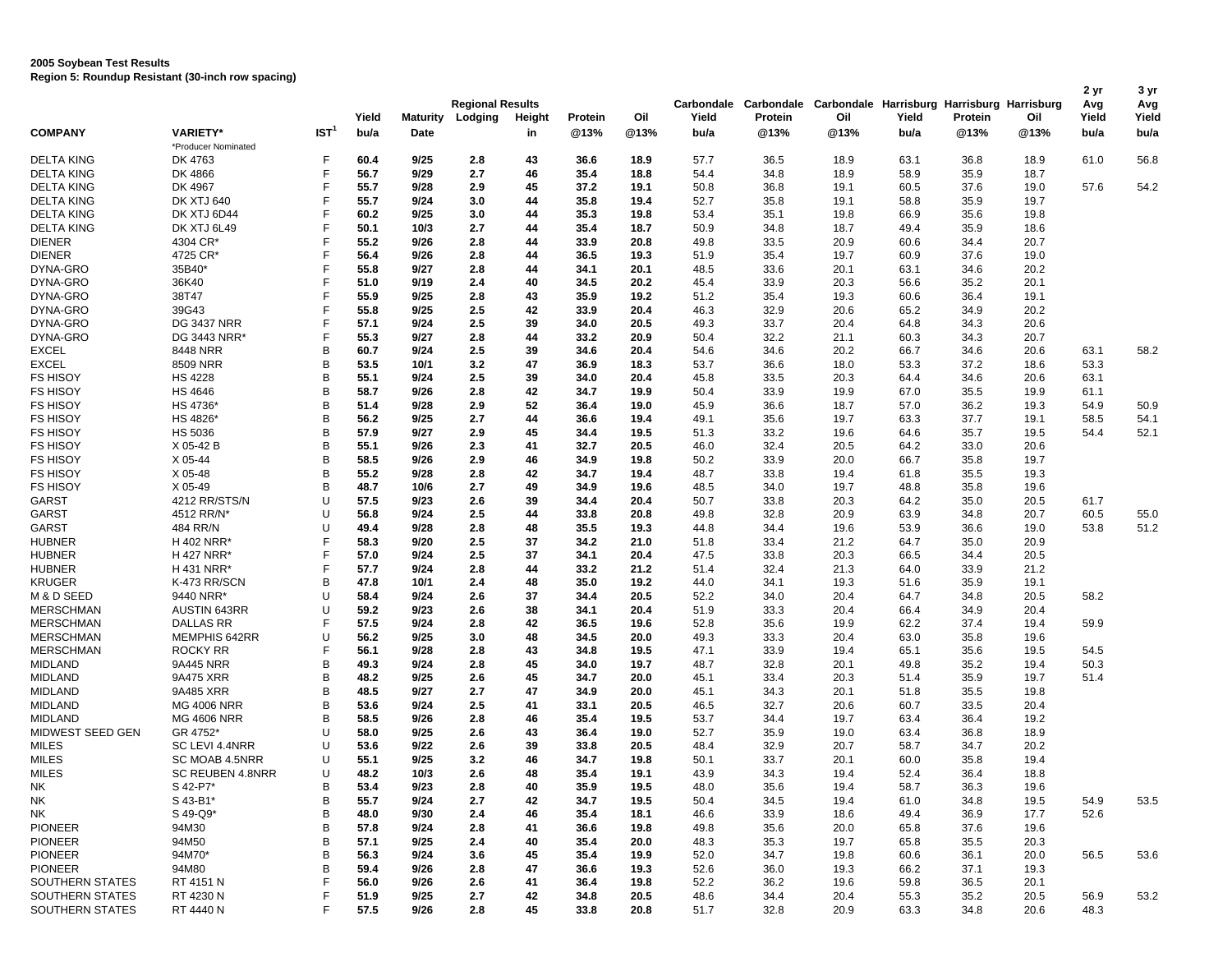## **2005 Soybean Test Results**

**Region 5: Roundup Resistant (30-inch row spacing)**

|                                    |                              |                  | Yield        | <b>Maturity</b> | <b>Regional Results</b><br>Lodging | Height   | Protein      | Oil          | Yield        | Protein      | Carbondale Carbondale Carbondale Harrisburg Harrisburg Harrisburg<br>Oil | Yield        | Protein      | Oil          | 2 yr<br>Avg<br>Yield | 3 yr<br>Avg<br>Yield |  |
|------------------------------------|------------------------------|------------------|--------------|-----------------|------------------------------------|----------|--------------|--------------|--------------|--------------|--------------------------------------------------------------------------|--------------|--------------|--------------|----------------------|----------------------|--|
| <b>COMPANY</b>                     | <b>VARIETY*</b>              | IST <sup>1</sup> | bu/a         | Date            |                                    | in       | @13%         | @13%         | bu/a         | @13%         | @13%                                                                     | bu/a         | @13%         | @13%         | bu/a                 | bu/a                 |  |
|                                    | *Producer Nominated          |                  |              |                 |                                    |          |              |              |              |              |                                                                          |              |              |              |                      |                      |  |
| <b>DELTA KING</b>                  | DK 4763                      | F                | 60.4         | 9/25            | 2.8                                | 43       | 36.6         | 18.9         | 57.7         | 36.5         | 18.9                                                                     | 63.1         | 36.8         | 18.9         | 61.0                 | 56.8                 |  |
| <b>DELTA KING</b>                  | DK 4866                      | F                | 56.7         | 9/29            | 2.7                                | 46       | 35.4         | 18.8         | 54.4         | 34.8         | 18.9                                                                     | 58.9         | 35.9         | 18.7         |                      |                      |  |
| <b>DELTA KING</b>                  | DK 4967                      | F                | 55.7         | 9/28            | 2.9                                | 45       | 37.2         | 19.1         | 50.8         | 36.8         | 19.1                                                                     | 60.5         | 37.6         | 19.0         | 57.6                 | 54.2                 |  |
| <b>DELTA KING</b>                  | <b>DK XTJ 640</b>            | F                | 55.7         | 9/24            | 3.0                                | 44       | 35.8         | 19.4         | 52.7         | 35.8         | 19.1                                                                     | 58.8         | 35.9         | 19.7         |                      |                      |  |
| <b>DELTA KING</b>                  | DK XTJ 6D44                  | F                | 60.2         | 9/25            | 3.0                                | 44       | 35.3         | 19.8         | 53.4         | 35.1         | 19.8                                                                     | 66.9         | 35.6         | 19.8         |                      |                      |  |
| <b>DELTA KING</b>                  | DK XTJ 6L49                  | F                | 50.1         | 10/3            | 2.7                                | 44       | 35.4         | 18.7         | 50.9         | 34.8         | 18.7                                                                     | 49.4         | 35.9         | 18.6         |                      |                      |  |
| <b>DIENER</b>                      | 4304 CR*                     | F                | 55.2         | 9/26            | 2.8                                | 44       | 33.9         | 20.8         | 49.8         | 33.5         | 20.9                                                                     | 60.6         | 34.4         | 20.7         |                      |                      |  |
| <b>DIENER</b>                      | 4725 CR*                     | F                | 56.4         | 9/26            | 2.8                                | 44       | 36.5         | 19.3         | 51.9         | 35.4         | 19.7                                                                     | 60.9         | 37.6         | 19.0         |                      |                      |  |
| DYNA-GRO                           | 35B40*                       | F                | 55.8         | 9/27            | 2.8                                | 44       | 34.1         | 20.1         | 48.5         | 33.6         | 20.1                                                                     | 63.1         | 34.6         | 20.2         |                      |                      |  |
| DYNA-GRO                           | 36K40                        | F                | 51.0         | 9/19            | 2.4                                | 40       | 34.5         | 20.2         | 45.4         | 33.9         | 20.3                                                                     | 56.6         | 35.2         | 20.1         |                      |                      |  |
| DYNA-GRO                           | 38T47                        | F                | 55.9         | 9/25            | 2.8                                | 43       | 35.9         | 19.2         | 51.2         | 35.4         | 19.3                                                                     | 60.6         | 36.4         | 19.1         |                      |                      |  |
| DYNA-GRO                           | 39G43                        | F                | 55.8         | 9/25            | 2.5                                | 42       | 33.9         | 20.4         | 46.3         | 32.9         | 20.6                                                                     | 65.2         | 34.9         | 20.2         |                      |                      |  |
| DYNA-GRO                           | <b>DG 3437 NRR</b>           | F                | 57.1         | 9/24            | 2.5                                | 39       | 34.0         | 20.5         | 49.3         | 33.7         | 20.4                                                                     | 64.8         | 34.3         | 20.6         |                      |                      |  |
| DYNA-GRO                           | DG 3443 NRR*                 | F                | 55.3         | 9/27            | 2.8                                | 44       | 33.2         | 20.9         | 50.4         | 32.2         | 21.1                                                                     | 60.3         | 34.3         | 20.7         |                      |                      |  |
| EXCEL                              | 8448 NRR                     | B                | 60.7         | 9/24            | 2.5                                | 39       | 34.6         | 20.4         | 54.6         | 34.6         | 20.2                                                                     | 66.7         | 34.6         | 20.6         | 63.1                 | 58.2                 |  |
| <b>EXCEL</b>                       | 8509 NRR                     | B                | 53.5         | 10/1            | 3.2                                | 47       | 36.9         | 18.3         | 53.7         | 36.6         | 18.0                                                                     | 53.3         | 37.2         | 18.6         | 53.3                 |                      |  |
| <b>FS HISOY</b>                    | <b>HS 4228</b>               | B                | 55.1         | 9/24            | 2.5                                | 39       | 34.0         | 20.4         | 45.8         | 33.5         | 20.3                                                                     | 64.4         | 34.6         | 20.6         | 63.1                 |                      |  |
| <b>FS HISOY</b>                    | <b>HS 4646</b>               | B                | 58.7         | 9/26            | 2.8                                | 42       | 34.7         | 19.9         | 50.4         | 33.9         | 19.9                                                                     | 67.0         | 35.5         | 19.9         | 61.1                 |                      |  |
| <b>FS HISOY</b>                    | HS 4736*                     | B                | 51.4         | 9/28            | 2.9                                | 52       | 36.4         | 19.0         | 45.9         | 36.6         | 18.7                                                                     | 57.0         | 36.2         | 19.3         | 54.9                 | 50.9                 |  |
| <b>FS HISOY</b>                    | HS 4826*                     | B                | 56.2         | 9/25            | 2.7                                | 44       | 36.6         | 19.4         | 49.1         | 35.6         | 19.7                                                                     | 63.3         | 37.7         | 19.1         | 58.5                 | 54.1                 |  |
| <b>FS HISOY</b>                    | HS 5036                      | B                | 57.9         | 9/27            | 2.9                                | 45       | 34.4         | 19.5         | 51.3         | 33.2         | 19.6                                                                     | 64.6         | 35.7         | 19.5         | 54.4                 | 52.1                 |  |
| <b>FS HISOY</b>                    | X 05-42 B                    | B                | 55.1         | 9/26            | 2.3                                | 41       | 32.7         | 20.5         | 46.0         | 32.4         | 20.5                                                                     | 64.2         | 33.0         | 20.6         |                      |                      |  |
| <b>FS HISOY</b>                    | X 05-44                      | B                | 58.5         | 9/26            | 2.9                                | 46       | 34.9         | 19.8         | 50.2         | 33.9         | 20.0                                                                     | 66.7         | 35.8         | 19.7         |                      |                      |  |
| <b>FS HISOY</b>                    | X 05-48                      | B                | 55.2         | 9/28            | 2.8                                | 42       | 34.7         | 19.4         | 48.7         | 33.8         | 19.4                                                                     | 61.8         | 35.5         | 19.3         |                      |                      |  |
| <b>FS HISOY</b>                    | X 05-49                      | B                | 48.7         | 10/6            | 2.7                                | 49       | 34.9         | 19.6         | 48.5         | 34.0         | 19.7                                                                     | 48.8         | 35.8         | 19.6         |                      |                      |  |
| GARST                              | 4212 RR/STS/N                | U                | 57.5         | 9/23            | 2.6                                | 39       | 34.4         | 20.4         | 50.7         | 33.8         | 20.3                                                                     | 64.2         | 35.0         | 20.5         | 61.7                 |                      |  |
| GARST                              | 4512 RR/N*                   | U                | 56.8         | 9/24            | 2.5                                | 44       | 33.8         | 20.8         | 49.8         | 32.8         | 20.9                                                                     | 63.9         | 34.8         | 20.7         | 60.5                 | 55.0                 |  |
| GARST                              | 484 RR/N                     | U                | 49.4         | 9/28            | 2.8                                | 48       | 35.5         | 19.3         | 44.8         | 34.4         | 19.6                                                                     | 53.9         | 36.6         | 19.0         | 53.8                 | 51.2                 |  |
| <b>HUBNER</b>                      | H 402 NRR*                   | F                | 58.3         | 9/20            | 2.5                                | 37       | 34.2         | 21.0         | 51.8         | 33.4         | 21.2                                                                     | 64.7         | 35.0         | 20.9         |                      |                      |  |
| <b>HUBNER</b>                      | H 427 NRR*                   | F                | 57.0         | 9/24            | 2.5                                | 37       | 34.1         | 20.4         | 47.5         | 33.8         | 20.3                                                                     | 66.5         | 34.4         | 20.5         |                      |                      |  |
| <b>HUBNER</b>                      | H 431 NRR*                   | F                | 57.7         | 9/24            | 2.8                                | 44       | 33.2         | 21.2         | 51.4         | 32.4         | 21.3                                                                     | 64.0         | 33.9         | 21.2         |                      |                      |  |
| <b>KRUGER</b>                      | K-473 RR/SCN                 | B                | 47.8         | 10/1            | 2.4                                | 48       | 35.0         | 19.2         | 44.0         | 34.1         | 19.3                                                                     | 51.6         | 35.9         | 19.1         |                      |                      |  |
| M & D SEED                         | 9440 NRR*                    | U                | 58.4         | 9/24            | 2.6                                | 37       | 34.4         | 20.5         | 52.2         | 34.0         | 20.4                                                                     | 64.7         | 34.8         | 20.5         | 58.2                 |                      |  |
| <b>MERSCHMAN</b>                   | <b>AUSTIN 643RR</b>          | U<br>F           | 59.2         | 9/23            | 2.6                                | 38       | 34.1         | 20.4         | 51.9         | 33.3         | 20.4                                                                     | 66.4         | 34.9         | 20.4         |                      |                      |  |
| <b>MERSCHMAN</b>                   | <b>DALLAS RR</b>             | U                | 57.5         | 9/24            | 2.8                                | 42       | 36.5         | 19.6         | 52.8         | 35.6         | 19.9                                                                     | 62.2         | 37.4         | 19.4         | 59.9                 |                      |  |
| <b>MERSCHMAN</b>                   | MEMPHIS 642RR                | F                | 56.2<br>56.1 | 9/25<br>9/28    | 3.0                                | 48<br>43 | 34.5<br>34.8 | 20.0         | 49.3         | 33.3         | 20.4<br>19.4                                                             | 63.0<br>65.1 | 35.8<br>35.6 | 19.6         |                      |                      |  |
| <b>MERSCHMAN</b><br><b>MIDLAND</b> | <b>ROCKY RR</b><br>9A445 NRR | B                | 49.3         | 9/24            | 2.8<br>2.8                         | 45       | 34.0         | 19.5<br>19.7 | 47.1<br>48.7 | 33.9<br>32.8 | 20.1                                                                     | 49.8         | 35.2         | 19.5<br>19.4 | 54.5<br>50.3         |                      |  |
| <b>MIDLAND</b>                     | 9A475 XRR                    | B                | 48.2         | 9/25            | 2.6                                | 45       | 34.7         | 20.0         | 45.1         | 33.4         | 20.3                                                                     | 51.4         | 35.9         | 19.7         | 51.4                 |                      |  |
| MIDLAND                            | 9A485 XRR                    | B                | 48.5         | 9/27            | 2.7                                | 47       | 34.9         | 20.0         | 45.1         | 34.3         | 20.1                                                                     | 51.8         | 35.5         | 19.8         |                      |                      |  |
| <b>MIDLAND</b>                     | <b>MG 4006 NRR</b>           | B                | 53.6         | 9/24            | 2.5                                | 41       | 33.1         | 20.5         | 46.5         | 32.7         | 20.6                                                                     | 60.7         | 33.5         | 20.4         |                      |                      |  |
| <b>MIDLAND</b>                     | <b>MG 4606 NRR</b>           | B                | 58.5         | 9/26            | 2.8                                | 46       | 35.4         | 19.5         | 53.7         | 34.4         | 19.7                                                                     | 63.4         | 36.4         | 19.2         |                      |                      |  |
| MIDWEST SEED GEN                   | GR 4752*                     | U                | 58.0         | 9/25            | 2.6                                | 43       | 36.4         | 19.0         | 52.7         | 35.9         | 19.0                                                                     | 63.4         | 36.8         | 18.9         |                      |                      |  |
| <b>MILES</b>                       | SC LEVI 4.4NRR               | U                | 53.6         | 9/22            | 2.6                                | 39       | 33.8         | 20.5         | 48.4         | 32.9         | 20.7                                                                     | 58.7         | 34.7         | 20.2         |                      |                      |  |
| <b>MILES</b>                       | SC MOAB 4.5NRR               | U                | 55.1         | 9/25            | 3.2                                | 46       | 34.7         | 19.8         | 50.1         | 33.7         | 20.1                                                                     | 60.0         | 35.8         | 19.4         |                      |                      |  |
| <b>MILES</b>                       | SC REUBEN 4.8NRR             | U                | 48.2         | 10/3            | 2.6                                | 48       | 35.4         | 19.1         | 43.9         | 34.3         | 19.4                                                                     | 52.4         | 36.4         | 18.8         |                      |                      |  |
| NΚ                                 | S 42-P7*                     | В                | 53.4         | 9/23            | 2.8                                | 40       | 35.9         | 19.5         | 48.0         | 35.6         | 19.4                                                                     | 58.7         | 36.3         | 19.6         |                      |                      |  |
| NΚ                                 | S 43-B1*                     | B                | 55.7         | 9/24            | 2.7                                | 42       | 34.7         | 19.5         | 50.4         | 34.5         | 19.4                                                                     | 61.0         | 34.8         | 19.5         | 54.9                 | 53.5                 |  |
| NΚ                                 | S 49-Q9*                     | B                | 48.0         | 9/30            | 2.4                                | 46       | 35.4         | 18.1         | 46.6         | 33.9         | 18.6                                                                     | 49.4         | 36.9         | 17.7         | 52.6                 |                      |  |
| <b>PIONEER</b>                     | 94M30                        | B                | 57.8         | 9/24            | 2.8                                | 41       | 36.6         | 19.8         | 49.8         | 35.6         | 20.0                                                                     | 65.8         | 37.6         | 19.6         |                      |                      |  |
| <b>PIONEER</b>                     | 94M50                        | B                | 57.1         | 9/25            | 2.4                                | 40       | 35.4         | 20.0         | 48.3         | 35.3         | 19.7                                                                     | 65.8         | 35.5         | 20.3         |                      |                      |  |
| <b>PIONEER</b>                     | 94M70*                       | B                | 56.3         | 9/24            | 3.6                                | 45       | 35.4         | 19.9         | 52.0         | 34.7         | 19.8                                                                     | 60.6         | 36.1         | 20.0         | 56.5                 | 53.6                 |  |
| <b>PIONEER</b>                     | 94M80                        | B                | 59.4         | 9/26            | 2.8                                | 47       | 36.6         | 19.3         | 52.6         | 36.0         | 19.3                                                                     | 66.2         | 37.1         | 19.3         |                      |                      |  |
| SOUTHERN STATES                    | RT 4151 N                    |                  | 56.0         | 9/26            | 2.6                                | 41       | 36.4         | 19.8         | 52.2         | 36.2         | 19.6                                                                     | 59.8         | 36.5         | 20.1         |                      |                      |  |
| <b>SOUTHERN STATES</b>             | RT 4230 N                    | F                | 51.9         | 9/25            | 2.7                                | 42       | 34.8         | 20.5         | 48.6         | 34.4         | 20.4                                                                     | 55.3         | 35.2         | 20.5         | 56.9                 | 53.2                 |  |
| SOUTHERN STATES                    | RT 4440 N                    | F                | 57.5         | 9/26            | 2.8                                | 45       | 33.8         | 20.8         | 51.7         | 32.8         | 20.9                                                                     | 63.3         | 34.8         | 20.6         | 48.3                 |                      |  |